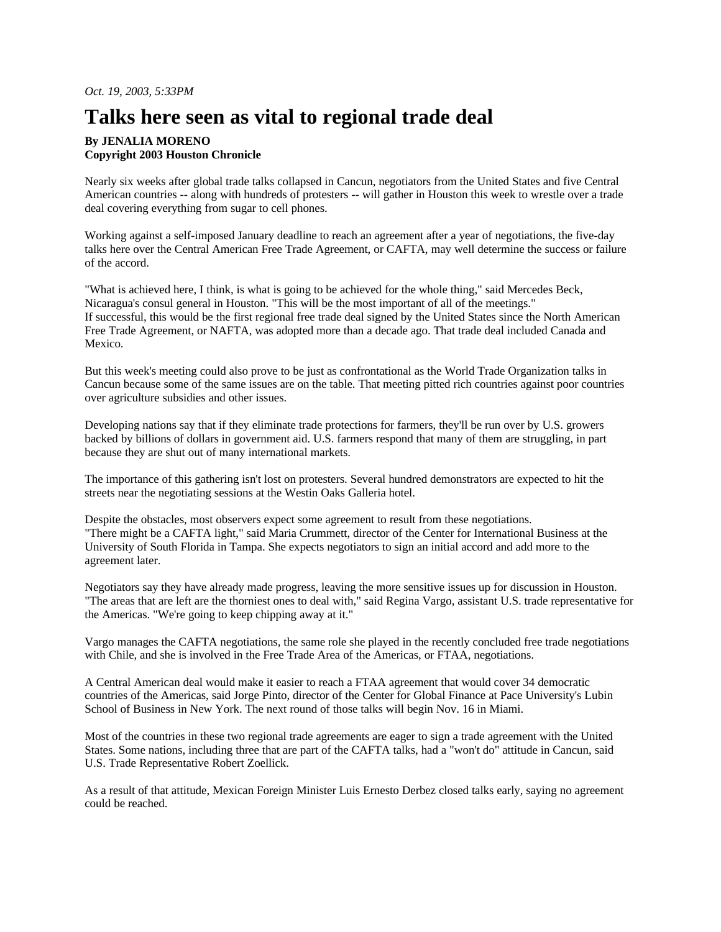## **Talks here seen as vital to regional trade deal**

## **By JENALIA MORENO Copyright 2003 Houston Chronicle**

Nearly six weeks after global trade talks collapsed in Cancun, negotiators from the United States and five Central American countries -- along with hundreds of protesters -- will gather in Houston this week to wrestle over a trade deal covering everything from sugar to cell phones.

Working against a self-imposed January deadline to reach an agreement after a year of negotiations, the five-day talks here over the Central American Free Trade Agreement, or CAFTA, may well determine the success or failure of the accord.

"What is achieved here, I think, is what is going to be achieved for the whole thing," said Mercedes Beck, Nicaragua's consul general in Houston. "This will be the most important of all of the meetings." If successful, this would be the first regional free trade deal signed by the United States since the North American Free Trade Agreement, or NAFTA, was adopted more than a decade ago. That trade deal included Canada and Mexico.

But this week's meeting could also prove to be just as confrontational as the World Trade Organization talks in Cancun because some of the same issues are on the table. That meeting pitted rich countries against poor countries over agriculture subsidies and other issues.

Developing nations say that if they eliminate trade protections for farmers, they'll be run over by U.S. growers backed by billions of dollars in government aid. U.S. farmers respond that many of them are struggling, in part because they are shut out of many international markets.

The importance of this gathering isn't lost on protesters. Several hundred demonstrators are expected to hit the streets near the negotiating sessions at the Westin Oaks Galleria hotel.

Despite the obstacles, most observers expect some agreement to result from these negotiations. "There might be a CAFTA light," said Maria Crummett, director of the Center for International Business at the University of South Florida in Tampa. She expects negotiators to sign an initial accord and add more to the agreement later.

Negotiators say they have already made progress, leaving the more sensitive issues up for discussion in Houston. "The areas that are left are the thorniest ones to deal with," said Regina Vargo, assistant U.S. trade representative for the Americas. "We're going to keep chipping away at it."

Vargo manages the CAFTA negotiations, the same role she played in the recently concluded free trade negotiations with Chile, and she is involved in the Free Trade Area of the Americas, or FTAA, negotiations.

A Central American deal would make it easier to reach a FTAA agreement that would cover 34 democratic countries of the Americas, said Jorge Pinto, director of the Center for Global Finance at Pace University's Lubin School of Business in New York. The next round of those talks will begin Nov. 16 in Miami.

Most of the countries in these two regional trade agreements are eager to sign a trade agreement with the United States. Some nations, including three that are part of the CAFTA talks, had a "won't do" attitude in Cancun, said U.S. Trade Representative Robert Zoellick.

As a result of that attitude, Mexican Foreign Minister Luis Ernesto Derbez closed talks early, saying no agreement could be reached.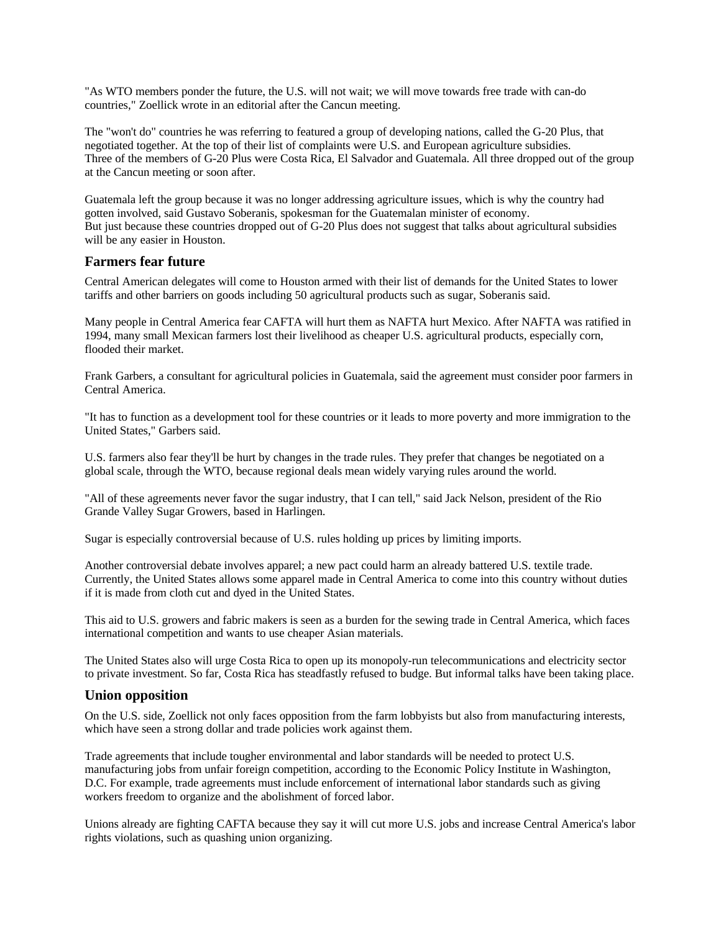"As WTO members ponder the future, the U.S. will not wait; we will move towards free trade with can-do countries," Zoellick wrote in an editorial after the Cancun meeting.

The "won't do" countries he was referring to featured a group of developing nations, called the G-20 Plus, that negotiated together. At the top of their list of complaints were U.S. and European agriculture subsidies. Three of the members of G-20 Plus were Costa Rica, El Salvador and Guatemala. All three dropped out of the group at the Cancun meeting or soon after.

Guatemala left the group because it was no longer addressing agriculture issues, which is why the country had gotten involved, said Gustavo Soberanis, spokesman for the Guatemalan minister of economy. But just because these countries dropped out of G-20 Plus does not suggest that talks about agricultural subsidies will be any easier in Houston.

## **Farmers fear future**

Central American delegates will come to Houston armed with their list of demands for the United States to lower tariffs and other barriers on goods including 50 agricultural products such as sugar, Soberanis said.

Many people in Central America fear CAFTA will hurt them as NAFTA hurt Mexico. After NAFTA was ratified in 1994, many small Mexican farmers lost their livelihood as cheaper U.S. agricultural products, especially corn, flooded their market.

Frank Garbers, a consultant for agricultural policies in Guatemala, said the agreement must consider poor farmers in Central America.

"It has to function as a development tool for these countries or it leads to more poverty and more immigration to the United States," Garbers said.

U.S. farmers also fear they'll be hurt by changes in the trade rules. They prefer that changes be negotiated on a global scale, through the WTO, because regional deals mean widely varying rules around the world.

"All of these agreements never favor the sugar industry, that I can tell," said Jack Nelson, president of the Rio Grande Valley Sugar Growers, based in Harlingen.

Sugar is especially controversial because of U.S. rules holding up prices by limiting imports.

Another controversial debate involves apparel; a new pact could harm an already battered U.S. textile trade. Currently, the United States allows some apparel made in Central America to come into this country without duties if it is made from cloth cut and dyed in the United States.

This aid to U.S. growers and fabric makers is seen as a burden for the sewing trade in Central America, which faces international competition and wants to use cheaper Asian materials.

The United States also will urge Costa Rica to open up its monopoly-run telecommunications and electricity sector to private investment. So far, Costa Rica has steadfastly refused to budge. But informal talks have been taking place.

## **Union opposition**

On the U.S. side, Zoellick not only faces opposition from the farm lobbyists but also from manufacturing interests, which have seen a strong dollar and trade policies work against them.

Trade agreements that include tougher environmental and labor standards will be needed to protect U.S. manufacturing jobs from unfair foreign competition, according to the Economic Policy Institute in Washington, D.C. For example, trade agreements must include enforcement of international labor standards such as giving workers freedom to organize and the abolishment of forced labor.

Unions already are fighting CAFTA because they say it will cut more U.S. jobs and increase Central America's labor rights violations, such as quashing union organizing.